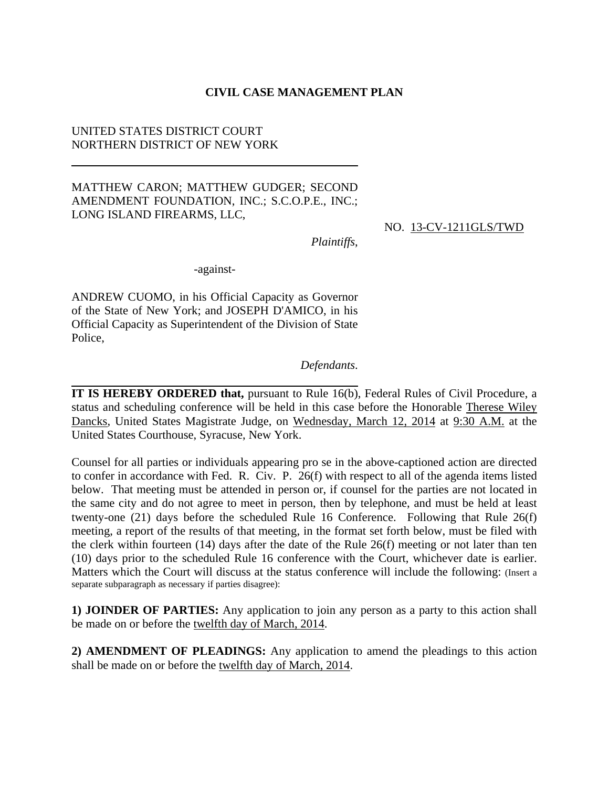#### **CIVIL CASE MANAGEMENT PLAN**

### UNITED STATES DISTRICT COURT NORTHERN DISTRICT OF NEW YORK

#### MATTHEW CARON; MATTHEW GUDGER; SECOND AMENDMENT FOUNDATION, INC.; S.C.O.P.E., INC.; LONG ISLAND FIREARMS, LLC,

NO. 13-CV-1211GLS/TWD

*Plaintiffs*,

-against-

ANDREW CUOMO, in his Official Capacity as Governor of the State of New York; and JOSEPH D'AMICO, in his Official Capacity as Superintendent of the Division of State Police,

#### *Defendants*.

**IT IS HEREBY ORDERED that,** pursuant to Rule 16(b), Federal Rules of Civil Procedure, a status and scheduling conference will be held in this case before the Honorable Therese Wiley Dancks, United States Magistrate Judge, on Wednesday, March 12, 2014 at 9:30 A.M. at the United States Courthouse, Syracuse, New York.

Counsel for all parties or individuals appearing pro se in the above-captioned action are directed to confer in accordance with Fed. R. Civ. P. 26(f) with respect to all of the agenda items listed below. That meeting must be attended in person or, if counsel for the parties are not located in the same city and do not agree to meet in person, then by telephone, and must be held at least twenty-one (21) days before the scheduled Rule 16 Conference. Following that Rule 26(f) meeting, a report of the results of that meeting, in the format set forth below, must be filed with the clerk within fourteen (14) days after the date of the Rule 26(f) meeting or not later than ten (10) days prior to the scheduled Rule 16 conference with the Court, whichever date is earlier. Matters which the Court will discuss at the status conference will include the following: (Insert a separate subparagraph as necessary if parties disagree):

**1) JOINDER OF PARTIES:** Any application to join any person as a party to this action shall be made on or before the twelfth day of March, 2014.

**2) AMENDMENT OF PLEADINGS:** Any application to amend the pleadings to this action shall be made on or before the twelfth day of March, 2014.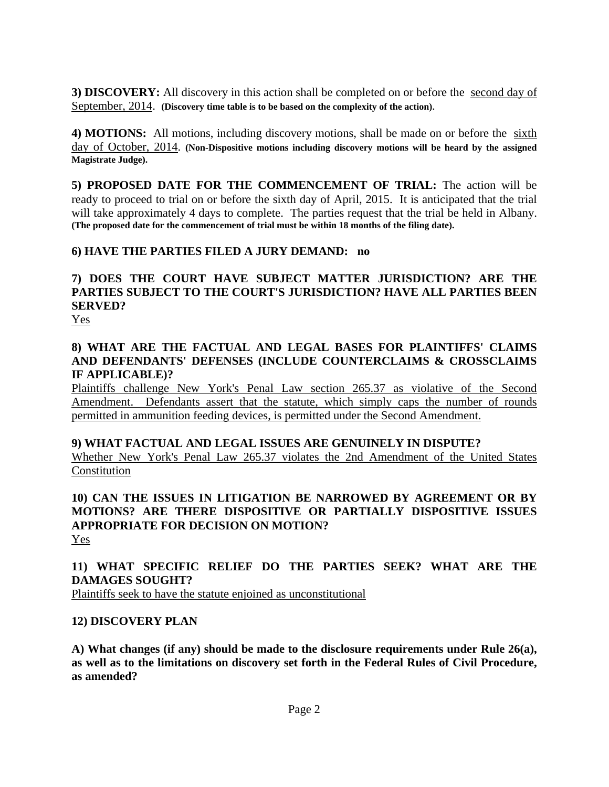**3) DISCOVERY:** All discovery in this action shall be completed on or before the second day of September, 2014. **(Discovery time table is to be based on the complexity of the action)**.

**4) MOTIONS:** All motions, including discovery motions, shall be made on or before the sixth day of October, 2014. **(Non-Dispositive motions including discovery motions will be heard by the assigned Magistrate Judge).**

**5) PROPOSED DATE FOR THE COMMENCEMENT OF TRIAL:** The action will be ready to proceed to trial on or before the sixth day of April, 2015. It is anticipated that the trial will take approximately 4 days to complete. The parties request that the trial be held in Albany. **(The proposed date for the commencement of trial must be within 18 months of the filing date).**

# **6) HAVE THE PARTIES FILED A JURY DEMAND: no**

# **7) DOES THE COURT HAVE SUBJECT MATTER JURISDICTION? ARE THE PARTIES SUBJECT TO THE COURT'S JURISDICTION? HAVE ALL PARTIES BEEN SERVED?**

Yes

### **8) WHAT ARE THE FACTUAL AND LEGAL BASES FOR PLAINTIFFS' CLAIMS AND DEFENDANTS' DEFENSES (INCLUDE COUNTERCLAIMS & CROSSCLAIMS IF APPLICABLE)?**

Plaintiffs challenge New York's Penal Law section 265.37 as violative of the Second Amendment. Defendants assert that the statute, which simply caps the number of rounds permitted in ammunition feeding devices, is permitted under the Second Amendment.

**9) WHAT FACTUAL AND LEGAL ISSUES ARE GENUINELY IN DISPUTE?** Whether New York's Penal Law 265.37 violates the 2nd Amendment of the United States Constitution

### **10) CAN THE ISSUES IN LITIGATION BE NARROWED BY AGREEMENT OR BY MOTIONS? ARE THERE DISPOSITIVE OR PARTIALLY DISPOSITIVE ISSUES APPROPRIATE FOR DECISION ON MOTION?**  Yes

# **11) WHAT SPECIFIC RELIEF DO THE PARTIES SEEK? WHAT ARE THE DAMAGES SOUGHT?**

Plaintiffs seek to have the statute enjoined as unconstitutional

# **12) DISCOVERY PLAN**

**A) What changes (if any) should be made to the disclosure requirements under Rule 26(a), as well as to the limitations on discovery set forth in the Federal Rules of Civil Procedure, as amended?**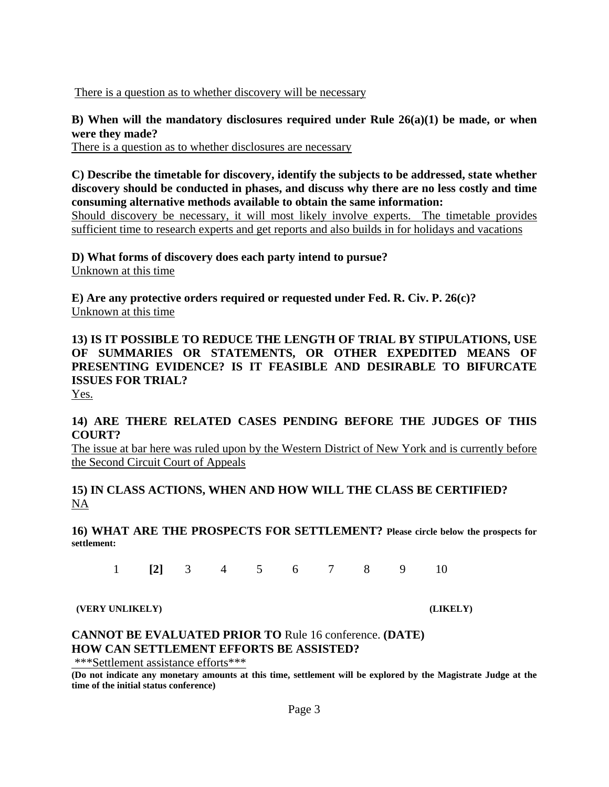There is a question as to whether discovery will be necessary

**B) When will the mandatory disclosures required under Rule 26(a)(1) be made, or when were they made?** 

There is a question as to whether disclosures are necessary

**C) Describe the timetable for discovery, identify the subjects to be addressed, state whether discovery should be conducted in phases, and discuss why there are no less costly and time consuming alternative methods available to obtain the same information:** 

Should discovery be necessary, it will most likely involve experts. The timetable provides sufficient time to research experts and get reports and also builds in for holidays and vacations

**D) What forms of discovery does each party intend to pursue?**  Unknown at this time

**E) Are any protective orders required or requested under Fed. R. Civ. P. 26(c)?**  Unknown at this time

**13) IS IT POSSIBLE TO REDUCE THE LENGTH OF TRIAL BY STIPULATIONS, USE OF SUMMARIES OR STATEMENTS, OR OTHER EXPEDITED MEANS OF PRESENTING EVIDENCE? IS IT FEASIBLE AND DESIRABLE TO BIFURCATE ISSUES FOR TRIAL?**

Yes.

### **14) ARE THERE RELATED CASES PENDING BEFORE THE JUDGES OF THIS COURT?**

The issue at bar here was ruled upon by the Western District of New York and is currently before the Second Circuit Court of Appeals

### **15) IN CLASS ACTIONS, WHEN AND HOW WILL THE CLASS BE CERTIFIED?** NA

**16) WHAT ARE THE PROSPECTS FOR SETTLEMENT? Please circle below the prospects for settlement:**

1 **[2]** 3 4 5 6 7 8 9 10

 **(VERY UNLIKELY) (LIKELY)**

### **CANNOT BE EVALUATED PRIOR TO** Rule 16 conference. **(DATE) HOW CAN SETTLEMENT EFFORTS BE ASSISTED?**

\*\*\*Settlement assistance efforts\*\*\*

**(Do not indicate any monetary amounts at this time, settlement will be explored by the Magistrate Judge at the time of the initial status conference)**